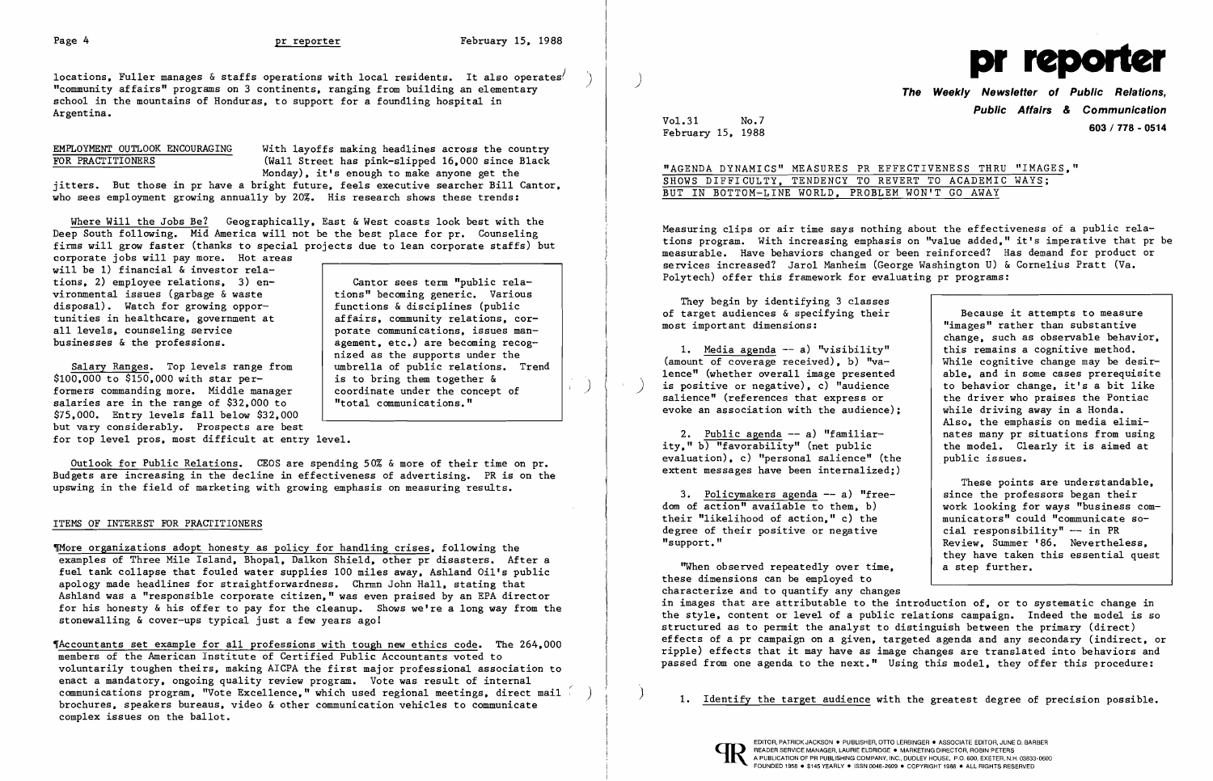$\mathbb{R}^3$  )  $\mathbb{R}^3$ 

locations. Fuller manages & staffs operations with local residents. It also operates<sup>/</sup> "community affairs" programs on 3 continents. ranging from building an elementary school in the mountains of Honduras. to support for a foundling hospital in Argentina.

EMPLOYMENT OUTLOOK ENCOURAGING With layoffs making headlines across the country<br>FOR PRACTITIONERS (Wall Street has pink-slipped 16.000 since Black (Wall Street has pink-slipped 16.000 since Black Monday). it's enough to make anyone get the jitters. But those in pr have a bright future. feels executive searcher Bill Cantor.

Where Will the Jobs Be? Geographically. East & West coasts look best with the Deep South following. Mid America will not be the best place for  $pr$ . Counseling firms will grow faster (thanks to special projects due to lean corporate staffs) but corporate jobs will pay more. Hot areas

will be 1) financial & investor relations, 2) employee relations, 3) en-<br>vironmental issues (garbage & waste  $\begin{array}{c|c} \n\end{array}$  tions" becoming generic. Various vironmental issues (garbage & waste  $\left\{\begin{array}{c} \text{tions}^{\text{II}} \text{ becomes } \text{generic.} \text{ Various} \\ \text{functions} \text{ & } \text{disciplines (public)} \end{array}\right.$ disposal). Watch for growing oppor-<br>tunities in healthcare, government at tunities in healthcare, government at affairs, community relations, cor-<br>all levels, counseling service and porate communications, issues manall levels, counseling service porate communications, issues man-<br>businesses & the professions. <br>agement. etc.) are becoming recog-

agement.  $etc.$ ) are becoming recognized as the supports under the

is to bring them together  $\delta$  coordinate under the concept of

Outlook for Public Relations. CEOS are spending  $50\%$  & more of their time on pr. Budgets are increasing in the decline in effectiveness of advertising. PR is on the upswing in the field of marketing with growing emphasis on measuring results.

umbrella of public relations. Trend

who sees employment growing annually by 20%. His research shows these trends:

Salary Ranges. Top levels range from \$100.000 to \$150.000 with star performers commanding more. Middle manager  $\vert$  coordinate under the consalaries are in the range of \$32.000 to  $\vert$  "total communications." salaries are in the range of  $$32,000$  to \$75.000. Entry levels fall below \$32.000 but vary considerably. Prospects are best

for top level pros. most difficult at entry level.

### ITEMS OF INTEREST FOR PRACTITIONERS

fiMore organizations adopt honesty as policy for handling crises. following the examples of Three Mile Island. Bhopal. Da1kon Shield. other pr disasters. After a fuel tank collapse that fouled water supplies 100 miles away. Ashland Oil's public apology made headlines for straightforwardness. Chrmn John Hall. stating that Ashland was a "responsible corporate citizen." was even praised by an EPA director for his honesty & his offer to pay for the cleanup. Shows we're a long way from the stonewalling & cover-ups typical just a few years ago1

~Accountants set example for all professions with tough new ethics code. The 264.000 members of the American Institute of Certified Public Accountants voted to voluntarily toughen theirs. making AICPA the first major professional association to enact a mandatory, ongoing quality review program. Vote was result of internal communications program. "Vote Excellence." which used regional meetings. direct mail brochures. speakers bureaus. video & other communication vehicles to communicate complex issues on the ballot.

"When observed repeatedly over time. these dimensions can be employed to characterize and to quantify any changes a step further. in images that are attributable to the introduction of. or to systematic change in the style. content or level of a public relations campaign. Indeed the model is so structured as to permit the analyst to distinguish between the primary (direct) effects of a pr campaign on a given, targeted agenda and any secondary (indirect, or ripple) effects that it may have as image changes are translated into behaviors and passed from one agenda to the next." Using this model. they offer this procedure:

,

) .



**The Weekly Newsletter of Public Relations, Public Affairs** *&* **Communication**  <sup>1988</sup>**603/778 - <sup>0514</sup>**

Vo1.31 February 15. No.7

# "AGENDA DYNAMICS" MEASURES PR EFFECTIVENESS THRU "IMAGES." SHOWS DIFFICULTY. TENDENCY TO REVERT TO ACADEMIC WAYS; BUT IN BOTTOM-LINE WORLD. PROBLEM WON'T GO AWAY

Measuring clips or air time says nothing about the effectiveness of a public rela tions program. With increasing emphasis on "value added." it's imperative that pr be measurable. Have behaviors changed or been reinforced? Has demand for product or services increased? Jaro1 Manheim (George Washington U) & Cornelius Pratt (Va. Polytech) offer this framework for evaluating pr programs:

They begin by identifying 3 classes of target audiences & specifying their most important dimensions:

1. Media agenda -- a) "visibility" (amount of coverage received). b) "valence" (whether overall image presented is positive or negative), c) "audience salience" (references that express or evoke an association with the audience);

2. Public agenda -- a) "familiarity." b) "favorability" (net public evaluation). c) "personal salience" (the extent messages have been internalized;)

3. Po1icymakers agenda -- a) "freedom of action" available to them. b) their "likelihood of action." c) the degree of their positive or negative "support."

Because it attempts to measure "images" rather than substantive change. such as observable behavior. this remains a cognitive method. While cognitive change may be desirable. and in some cases prerequisite to behavior change. it's a bit like the driver who praises the Pontiac while driving away in a Honda. Also. the emphasis on media eliminates many pr situations from using the model. Clearly it is aimed at public issues.

These points are understandable. since the professors began their work looking for ways "business communicators" could "communicate social responsibility"  $--$  in PR Review. Summer '86. Nevertheless. they have taken this essential quest

) 1. Identify the target audience with the greatest degree of precision possible.